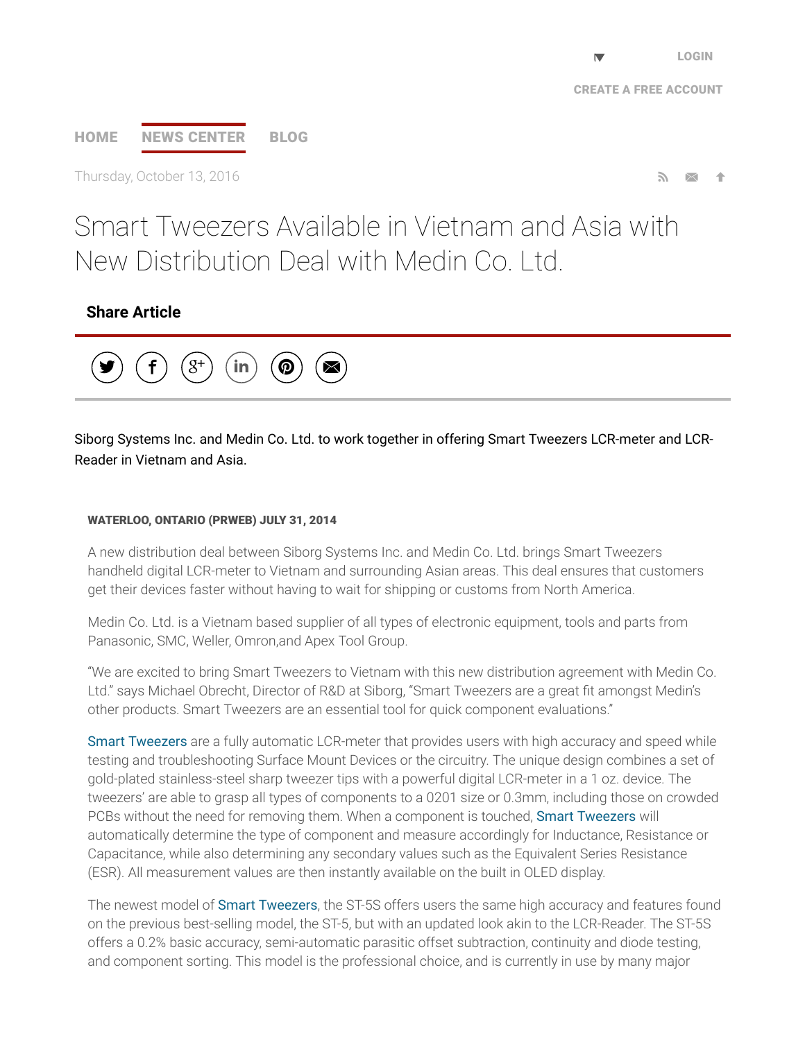# [HOME](http://www.prweb.com/) NEWS [CENTER](http://www.prweb.com/recentnews/) [BLOG](http://www.cision.com/us/blog/)

Thursday, October 13, 2016

## Smart Tweezers Available in Vietnam and Asia with New Distribution Deal with Medin Co. Ltd.

## Share Article



Siborg Systems Inc. and Medin Co. Ltd. to work together in offering Smart Tweezers LCR-meter and LCR-Reader in Vietnam and Asia.

#### WATERLOO, ONTARIO (PRWEB) JULY 31, 2014

A new distribution deal between Siborg Systems Inc. and Medin Co. Ltd. brings Smart Tweezers handheld digital LCR-meter to Vietnam and surrounding Asian areas. This deal ensures that customers get their devices faster without having to wait for shipping or customs from North America.

Medin Co. Ltd. is a Vietnam based supplier of all types of electronic equipment, tools and parts from Panasonic, SMC, Weller, Omron,and Apex Tool Group.

"We are excited to bring Smart Tweezers to Vietnam with this new distribution agreement with Medin Co. Ltd." says Michael Obrecht, Director of R&D at Siborg, "Smart Tweezers are a great fit amongst Medin's other products. Smart Tweezers are an essential tool for quick component evaluations."

Smart [Tweezers](http://www.prweb.net/Redirect.aspx?id=aHR0cDovL3d3dy5zbWFydHR3ZWV6ZXJzLnVz) are a fully automatic LCR-meter that provides users with high accuracy and speed while testing and troubleshooting Surface Mount Devices or the circuitry. The unique design combines a set of gold-plated stainless-steel sharp tweezer tips with a powerful digital LCR-meter in a 1 oz. device. The tweezers' are able to grasp all types of components to a 0201 size or 0.3mm, including those on crowded PCBs without the need for removing them. When a component is touched, Smart [Tweezers](http://www.prweb.net/Redirect.aspx?id=aHR0cDovL3d3dy5zbWFydHR3ZWV6ZXJzLmNh) will automatically determine the type of component and measure accordingly for Inductance, Resistance or Capacitance, while also determining any secondary values such as the Equivalent Series Resistance (ESR). All measurement values are then instantly available on the built in OLED display.

The newest model of Smart [Tweezers,](http://www.prweb.net/Redirect.aspx?id=aHR0cDovL3d3dy5zbWFydHR3ZWV6ZXJzLmNu) the ST-5S offers users the same high accuracy and features found on the previous best-selling model, the ST-5, but with an updated look akin to the LCR-Reader. The ST-5S offers a 0.2% basic accuracy, semi-automatic parasitic offset subtraction, continuity and diode testing, and component sorting. This model is the professional choice, and is currently in use by many major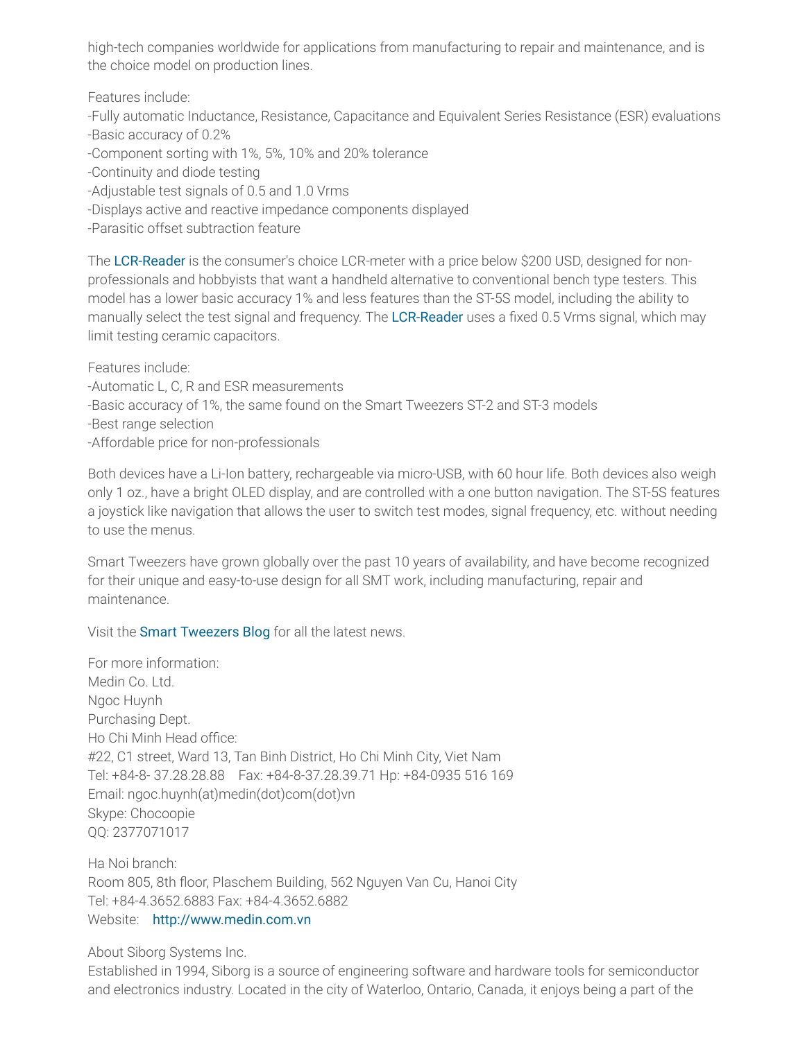high-tech companies worldwide for applications from manufacturing to repair and maintenance, and is the choice model on production lines.

Features include:

-Fully automatic Inductance, Resistance, Capacitance and Equivalent Series Resistance (ESR) evaluations -Basic accuracy of 0.2%

-Component sorting with 1%, 5%, 10% and 20% tolerance

-Continuity and diode testing

-Adjustable test signals of 0.5 and 1.0 Vrms

-Displays active and reactive impedance components displayed

-Parasitic offset subtraction feature

The [LCR-Reader](http://www.prweb.net/Redirect.aspx?id=aHR0cDovL3d3dy5sY3ItcmVhZGVyLmNvbQ==) is the consumer's choice LCR-meter with a price below \$200 USD, designed for nonprofessionals and hobbyists that want a handheld alternative to conventional bench type testers. This model has a lower basic accuracy 1% and less features than the ST-5S model, including the ability to manually select the test signal and frequency. The [LCR-Reader](http://www.prweb.net/Redirect.aspx?id=aHR0cDovL3d3dy5sY3ItcmVhZGVyLmNvbQ==) uses a fixed 0.5 Vrms signal, which may limit testing ceramic capacitors.

Features include: -Automatic L, C, R and ESR measurements -Basic accuracy of 1%, the same found on the Smart Tweezers ST-2 and ST-3 models -Best range selection -Affordable price for non-professionals

Both devices have a Li-Ion battery, rechargeable via micro-USB, with 60 hour life. Both devices also weigh only 1 oz., have a bright OLED display, and are controlled with a one button navigation. The ST-5S features a joystick like navigation that allows the user to switch test modes, signal frequency, etc. without needing to use the menus.

Smart Tweezers have grown globally over the past 10 years of availability, and have become recognized for their unique and easy-to-use design for all SMT work, including manufacturing, repair and maintenance.

Visit the Smart [Tweezers](http://www.prweb.net/Redirect.aspx?id=aHR0cDovL3d3dy5zbWFydHR3ZWV6ZXJzLnVzL2Jsb2c=) Blog for all the latest news.

For more information: Medin Co. Ltd. Ngoc Huynh Purchasing Dept. Ho Chi Minh Head office: #22, C1 street, Ward 13, Tan Binh District, Ho Chi Minh City, Viet Nam Tel: +84-8- 37.28.28.88 Fax: +84-8-37.28.39.71 Hp: +84-0935 516 169 Email: ngoc.huynh(at)medin(dot)com(dot)vn Skype: Chocoopie QQ: 2377071017

Ha Noi branch: Room 805, 8th floor, Plaschem Building, 562 Nguyen Van Cu, Hanoi City Tel: +84-4.3652.6883 Fax: +84-4.3652.6882 Website: [http://www.medin.com.vn](http://www.prweb.net/Redirect.aspx?id=aHR0cDovL3d3dy5tZWRpbi5jb20udm4=)

About Siborg Systems Inc.

Established in 1994, Siborg is a source of engineering software and hardware tools for semiconductor and electronics industry. Located in the city of Waterloo, Ontario, Canada, it enjoys being a part of the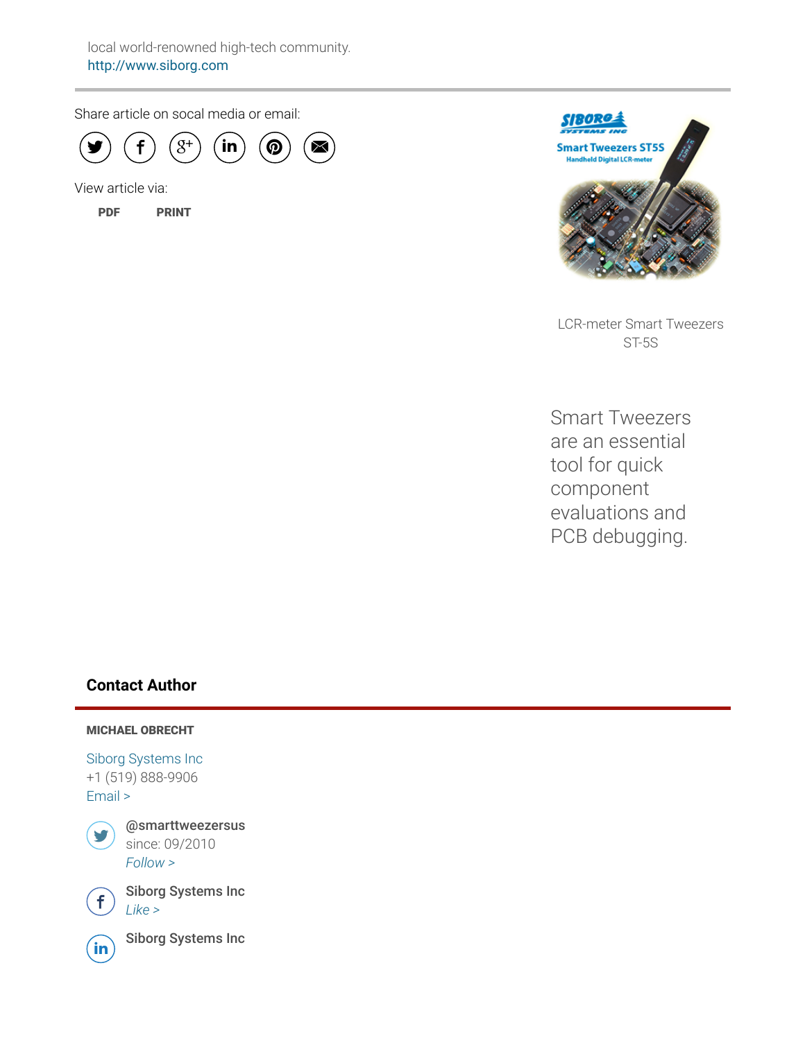Share article on socal media or email:



View article via:

[PDF](http://www.prweb.com/pdfdownload/12056778.pdf) [PRINT](http://www.prweb.com/printer/12056778.htm)



LCR-meter Smart Tweezers ST-5S

Smart Tweezers are an essential tool for quick component evaluations and PCB debugging.

## Contact Author

#### MICHAEL OBRECHT

Siborg [Systems](http://www.prweb.net/Redirect.aspx?id=aHR0cDovL3d3dy5zaWJvcmcuY29t) Inc +1 (519) 888-9906 [Email](http://www.prweb.com/EmailContact.aspx?prid=12056778) >



@smarttweezersus since: 09/2010 [Follow](https://twitter.com/intent/user?screen_name=smarttweezersus&variant=2.0) >



 $\bigoplus$  Siborg Systems Inc



 $\widehat{\mathsf{in}}$  Siborg Systems Inc